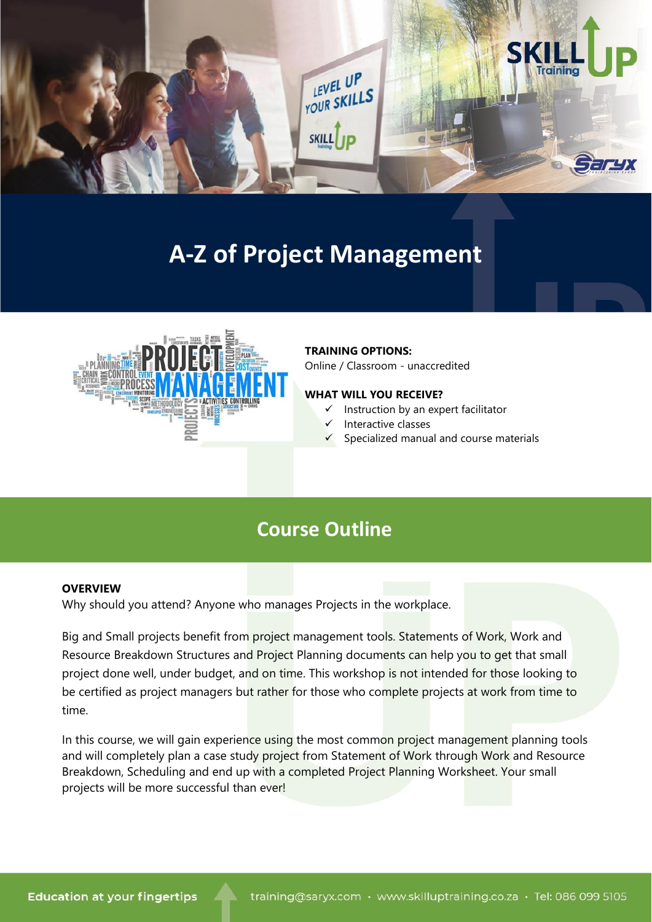

# **A-Z of Project Management**



### **TRAINING OPTIONS:**

Online / Classroom - unaccredited

### **WHAT WILL YOU RECEIVE?**

- ✓ Instruction by an expert facilitator
- Interactive classes
- Specialized manual and course materials

# **Course Outline**

### **OVERVIEW**

Why should you attend? Anyone who manages Projects in the workplace.

Big and Small projects benefit from project management tools. Statements of Work, Work and Resource Breakdown Structures and Project Planning documents can help you to get that small project done well, under budget, and on time. This workshop is not intended for those looking to be certified as project managers but rather for those who complete projects at work from time to time.

In this course, we will gain experience using the most common project management planning tools and will completely plan a case study project from Statement of Work through Work and Resource Breakdown, Scheduling and end up with a completed Project Planning Worksheet. Your small projects will be more successful than ever!